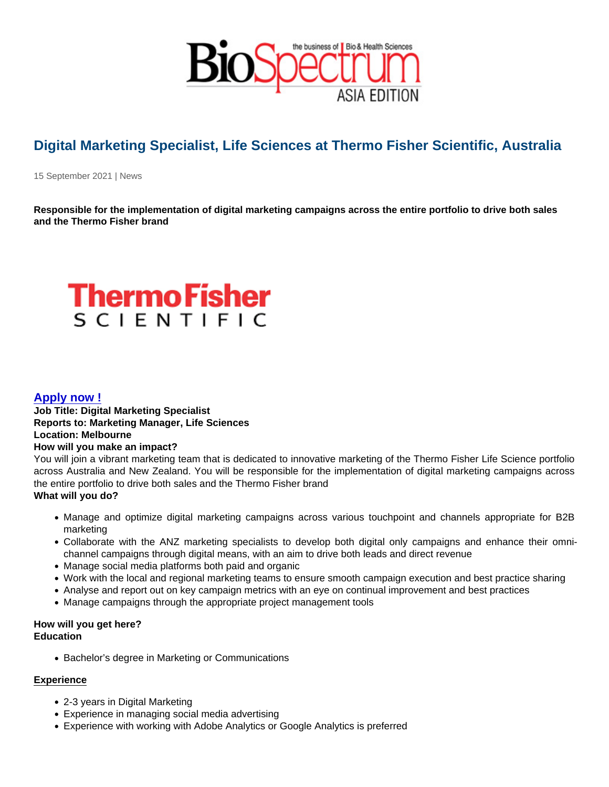## Digital Marketing Specialist, Life Sciences at Thermo Fisher Scientific, Australia

15 September 2021 | News

Responsible for the implementation of digital marketing campaigns across the entire portfolio to drive both sales and the Thermo Fisher brand

## [Apply now !](https://jobs.thermofisher.com/global/en/job/165198BR?refId=34jd24)

Job Title: Digital Marketing Specialist Reports to: Marketing Manager, Life Sciences Location: Melbourne How will you make an impact? You will join a vibrant marketing team that is dedicated to innovative marketing of the Thermo Fisher Life Science portfolio

across Australia and New Zealand. You will be responsible for the implementation of digital marketing campaigns across the entire portfolio to drive both sales and the Thermo Fisher brand What will you do?

- Manage and optimize digital marketing campaigns across various touchpoint and channels appropriate for B2B marketing
- Collaborate with the ANZ marketing specialists to develop both digital only campaigns and enhance their omnichannel campaigns through digital means, with an aim to drive both leads and direct revenue
- Manage social media platforms both paid and organic
- Work with the local and regional marketing teams to ensure smooth campaign execution and best practice sharing
- Analyse and report out on key campaign metrics with an eye on continual improvement and best practices
- Manage campaigns through the appropriate project management tools

How will you get here? **Education** 

• Bachelor's degree in Marketing or Communications

## Experience

- 2-3 years in Digital Marketing
- Experience in managing social media advertising
- Experience with working with Adobe Analytics or Google Analytics is preferred